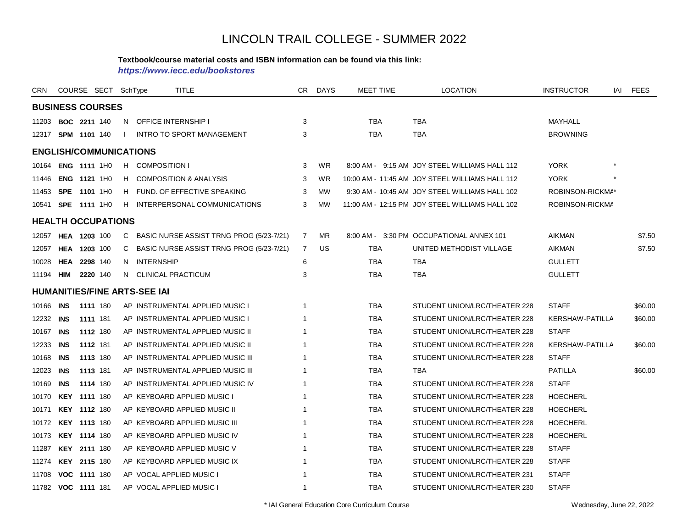#### **Textbook/course material costs and ISBN information can be found via this link:**

*https://www.iecc.edu/bookstores*

| CRN       | COURSE SECT SchType           |          |  |              |                                     | <b>TITLE</b>                               | CR             | <b>DAYS</b> | <b>MEET TIME</b> | <b>LOCATION</b>                                 | <b>INSTRUCTOR</b>      | <b>FEES</b><br>iai |  |  |
|-----------|-------------------------------|----------|--|--------------|-------------------------------------|--------------------------------------------|----------------|-------------|------------------|-------------------------------------------------|------------------------|--------------------|--|--|
|           | <b>BUSINESS COURSES</b>       |          |  |              |                                     |                                            |                |             |                  |                                                 |                        |                    |  |  |
|           | 11203 <b>BOC 2211</b> 140     |          |  | N.           |                                     | <b>OFFICE INTERNSHIP I</b>                 | 3              |             | TBA              | TBA                                             | MAYHALL                |                    |  |  |
|           | 12317 SPM 1101 140            |          |  | $\mathbf{L}$ |                                     | <b>INTRO TO SPORT MANAGEMENT</b>           | 3              |             | <b>TBA</b>       | <b>TBA</b>                                      | <b>BROWNING</b>        |                    |  |  |
|           | <b>ENGLISH/COMMUNICATIONS</b> |          |  |              |                                     |                                            |                |             |                  |                                                 |                        |                    |  |  |
|           | 10164 ENG 1111 1H0            |          |  |              | H COMPOSITION I                     |                                            | 3              | WR          |                  | 8:00 AM - 9:15 AM JOY STEEL WILLIAMS HALL 112   | <b>YORK</b>            |                    |  |  |
| 11446     | ENG 1121 1H0                  |          |  |              |                                     | H COMPOSITION & ANALYSIS                   | 3              | WR          |                  | 10:00 AM - 11:45 AM JOY STEEL WILLIAMS HALL 112 | <b>YORK</b>            |                    |  |  |
| 11453     | <b>SPE 1101 1H0</b>           |          |  |              |                                     | H FUND. OF EFFECTIVE SPEAKING              | 3              | <b>MW</b>   |                  | 9:30 AM - 10:45 AM JOY STEEL WILLIAMS HALL 102  | ROBINSON-RICKMA*       |                    |  |  |
|           | 10541 <b>SPE 1111</b> 1H0     |          |  |              |                                     | H INTERPERSONAL COMMUNICATIONS             | 3              | <b>MW</b>   |                  | 11:00 AM - 12:15 PM JOY STEEL WILLIAMS HALL 102 | ROBINSON-RICKMA        |                    |  |  |
|           | <b>HEALTH OCCUPATIONS</b>     |          |  |              |                                     |                                            |                |             |                  |                                                 |                        |                    |  |  |
| 12057     | <b>HEA 1203 100</b>           |          |  | C            |                                     | BASIC NURSE ASSIST TRNG PROG (5/23-7/21)   | $\overline{7}$ | MR          |                  | 8:00 AM - 3:30 PM OCCUPATIONAL ANNEX 101        | <b>AIKMAN</b>          | \$7.50             |  |  |
| 12057     | HEA 1203 100                  |          |  |              |                                     | C BASIC NURSE ASSIST TRNG PROG (5/23-7/21) | $\overline{7}$ | US          | <b>TBA</b>       | UNITED METHODIST VILLAGE                        | AIKMAN                 | \$7.50             |  |  |
| 10028     | <b>HEA 2298 140</b>           |          |  |              | N INTERNSHIP                        |                                            | 6              |             | TBA              | TBA                                             | <b>GULLETT</b>         |                    |  |  |
|           | 11194 <b>HIM 2220</b> 140     |          |  |              |                                     | N CLINICAL PRACTICUM                       | 3              |             | <b>TBA</b>       | TBA                                             | <b>GULLETT</b>         |                    |  |  |
|           |                               |          |  |              | <b>HUMANITIES/FINE ARTS-SEE IAI</b> |                                            |                |             |                  |                                                 |                        |                    |  |  |
| 10166     | <b>INS</b>                    | 1111 180 |  |              |                                     | AP INSTRUMENTAL APPLIED MUSIC I            | 1              |             | <b>TBA</b>       | STUDENT UNION/LRC/THEATER 228                   | <b>STAFF</b>           | \$60.00            |  |  |
| 12232 INS |                               | 1111 181 |  |              |                                     | AP INSTRUMENTAL APPLIED MUSIC I            |                |             | <b>TBA</b>       | STUDENT UNION/LRC/THEATER 228                   | <b>KERSHAW-PATILLA</b> | \$60.00            |  |  |
| 10167     | <b>INS</b>                    | 1112 180 |  |              |                                     | AP INSTRUMENTAL APPLIED MUSIC II           |                |             | <b>TBA</b>       | STUDENT UNION/LRC/THEATER 228                   | <b>STAFF</b>           |                    |  |  |
| 12233     | INS                           | 1112 181 |  |              |                                     | AP INSTRUMENTAL APPLIED MUSIC II           |                |             | TBA              | STUDENT UNION/LRC/THEATER 228                   | KERSHAW-PATILLA        | \$60.00            |  |  |
| 10168     | INS                           | 1113 180 |  |              |                                     | AP INSTRUMENTAL APPLIED MUSIC III          |                |             | TBA              | STUDENT UNION/LRC/THEATER 228                   | <b>STAFF</b>           |                    |  |  |
| 12023     | INS                           | 1113 181 |  |              |                                     | AP INSTRUMENTAL APPLIED MUSIC III          |                |             | TBA              | <b>TBA</b>                                      | <b>PATILLA</b>         | \$60.00            |  |  |
| 10169     | <b>INS</b>                    | 1114 180 |  |              |                                     | AP INSTRUMENTAL APPLIED MUSIC IV           |                |             | <b>TBA</b>       | STUDENT UNION/LRC/THEATER 228                   | <b>STAFF</b>           |                    |  |  |
| 10170     | <b>KEY 1111 180</b>           |          |  |              |                                     | AP KEYBOARD APPLIED MUSIC I                |                |             | <b>TBA</b>       | STUDENT UNION/LRC/THEATER 228                   | <b>HOECHERL</b>        |                    |  |  |
| 10171     | KEY 1112 180                  |          |  |              |                                     | AP KEYBOARD APPLIED MUSIC II               |                |             | <b>TBA</b>       | STUDENT UNION/LRC/THEATER 228                   | <b>HOECHERL</b>        |                    |  |  |
|           | 10172 KEY 1113 180            |          |  |              |                                     | AP KEYBOARD APPLIED MUSIC III              |                |             | TBA              | STUDENT UNION/LRC/THEATER 228                   | <b>HOECHERL</b>        |                    |  |  |
|           | 10173 KEY 1114 180            |          |  |              |                                     | AP KEYBOARD APPLIED MUSIC IV               |                |             | <b>TBA</b>       | STUDENT UNION/LRC/THEATER 228                   | <b>HOECHERL</b>        |                    |  |  |
| 11287     | <b>KEY 2111 180</b>           |          |  |              |                                     | AP KEYBOARD APPLIED MUSIC V                |                |             | TBA              | STUDENT UNION/LRC/THEATER 228                   | <b>STAFF</b>           |                    |  |  |
| 11274     | <b>KEY 2115 180</b>           |          |  |              |                                     | AP KEYBOARD APPLIED MUSIC IX               |                |             | TBA              | STUDENT UNION/LRC/THEATER 228                   | <b>STAFF</b>           |                    |  |  |
| 11708     | VOC 1111 180                  |          |  |              |                                     | AP VOCAL APPLIED MUSIC I                   |                |             | <b>TBA</b>       | STUDENT UNION/LRC/THEATER 231                   | <b>STAFF</b>           |                    |  |  |
|           | 11782 VOC 1111 181            |          |  |              |                                     | AP VOCAL APPLIED MUSIC I                   | 1              |             | <b>TBA</b>       | STUDENT UNION/LRC/THEATER 230                   | <b>STAFF</b>           |                    |  |  |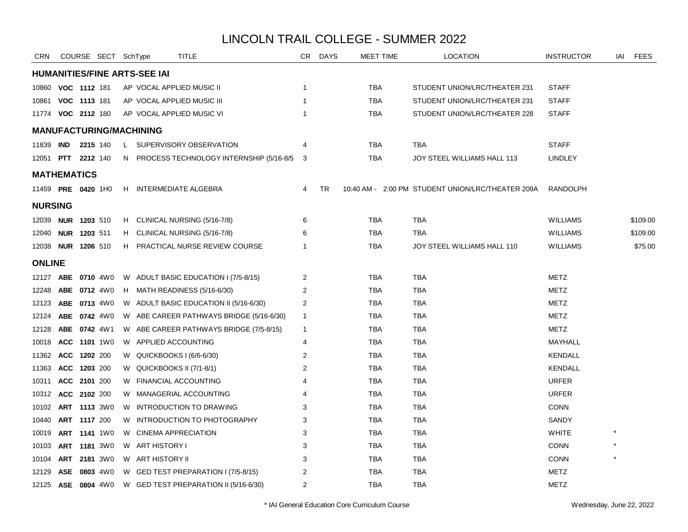| <b>CRN</b>                |     |                     | COURSE SECT SchType |    |                                | TITLE                                       | CR.            | <b>DAYS</b> | MEET TIME  | <b>LOCATION</b>                                   | <b>INSTRUCTOR</b> | IAI | <b>FEES</b> |
|---------------------------|-----|---------------------|---------------------|----|--------------------------------|---------------------------------------------|----------------|-------------|------------|---------------------------------------------------|-------------------|-----|-------------|
|                           |     |                     |                     |    | HUMANITIES/FINE ARTS-SEE IAI   |                                             |                |             |            |                                                   |                   |     |             |
| 10860 VOC 1112 181        |     |                     |                     |    |                                | AP VOCAL APPLIED MUSIC II                   | $\mathbf{1}$   |             | TBA        | STUDENT UNION/LRC/THEATER 231                     | <b>STAFF</b>      |     |             |
| 10861                     |     | VOC 1113 181        |                     |    |                                | AP VOCAL APPLIED MUSIC III                  | $\mathbf{1}$   |             | <b>TBA</b> | STUDENT UNION/LRC/THEATER 231                     | <b>STAFF</b>      |     |             |
| 11774 <b>VOC 2112</b> 180 |     |                     |                     |    |                                | AP VOCAL APPLIED MUSIC VI                   | -1             |             | <b>TBA</b> | STUDENT UNION/LRC/THEATER 228                     | <b>STAFF</b>      |     |             |
|                           |     |                     |                     |    | <b>MANUFACTURING/MACHINING</b> |                                             |                |             |            |                                                   |                   |     |             |
| 11839 IND                 |     | 2215 140            |                     |    |                                | L SUPERVISORY OBSERVATION                   | 4              |             | TBA        | TBA                                               | <b>STAFF</b>      |     |             |
| 12051 <b>PTT 2212</b> 140 |     |                     |                     |    |                                | N PROCESS TECHNOLOGY INTERNSHIP (5/16-8/5 3 |                |             | <b>TBA</b> | JOY STEEL WILLIAMS HALL 113                       | <b>LINDLEY</b>    |     |             |
| <b>MATHEMATICS</b>        |     |                     |                     |    |                                |                                             |                |             |            |                                                   |                   |     |             |
| 11459 PRE 0420 1H0        |     |                     |                     | H. |                                | INTERMEDIATE ALGEBRA                        | 4              | TR          |            | 10:40 AM - 2:00 PM STUDENT UNION/LRC/THEATER 209A | <b>RANDOLPH</b>   |     |             |
| <b>NURSING</b>            |     |                     |                     |    |                                |                                             |                |             |            |                                                   |                   |     |             |
| 12039 NUR 1203 510        |     |                     |                     | H. |                                | CLINICAL NURSING (5/16-7/8)                 | 6              |             | <b>TBA</b> | <b>TBA</b>                                        | <b>WILLIAMS</b>   |     | \$109.00    |
| 12040                     |     | NUR 1203 511        |                     | H. |                                | CLINICAL NURSING (5/16-7/8)                 | 6              |             | <b>TBA</b> | <b>TBA</b>                                        | <b>WILLIAMS</b>   |     | \$109.00    |
| 12038 <b>NUR 1206</b> 510 |     |                     |                     | H. |                                | <b>PRACTICAL NURSE REVIEW COURSE</b>        | $\mathbf{1}$   |             | <b>TBA</b> | JOY STEEL WILLIAMS HALL 110                       | <b>WILLIAMS</b>   |     | \$75.00     |
| <b>ONLINE</b>             |     |                     |                     |    |                                |                                             |                |             |            |                                                   |                   |     |             |
| 12127                     |     | ABE 0710 4W0        |                     |    |                                | W ADULT BASIC EDUCATION I (7/5-8/15)        | $\overline{2}$ |             | <b>TBA</b> | <b>TBA</b>                                        | <b>METZ</b>       |     |             |
| 12248                     |     | ABE 0712 4W0        |                     |    |                                | H MATH READINESS (5/16-6/30)                | 2              |             | <b>TBA</b> | <b>TBA</b>                                        | <b>METZ</b>       |     |             |
| 12123                     |     | ABE 0713 4W0        |                     |    |                                | W ADULT BASIC EDUCATION II (5/16-6/30)      | 2              |             | <b>TBA</b> | <b>TBA</b>                                        | <b>METZ</b>       |     |             |
| 12124                     |     | ABE 0742 4W0        |                     |    |                                | W ABE CAREER PATHWAYS BRIDGE (5/16-6/30)    | $\mathbf{1}$   |             | <b>TBA</b> | <b>TBA</b>                                        | <b>METZ</b>       |     |             |
| 12128                     |     | ABE 0742 4W1        |                     |    |                                | W ABE CAREER PATHWAYS BRIDGE (7/5-8/15)     | $\mathbf{1}$   |             | <b>TBA</b> | <b>TBA</b>                                        | <b>METZ</b>       |     |             |
| 10018 ACC 1101 1W0        |     |                     |                     |    | W APPLIED ACCOUNTING           |                                             | 4              |             | <b>TBA</b> | <b>TBA</b>                                        | MAYHALL           |     |             |
| 11362                     |     | ACC 1202 200        |                     |    |                                | W QUICKBOOKS I (6/6-6/30)                   | $\overline{2}$ |             | <b>TBA</b> | <b>TBA</b>                                        | <b>KENDALL</b>    |     |             |
| 11363                     |     | ACC 1203 200        |                     |    | W QUICKBOOKS II (7/1-8/1)      |                                             | $\overline{2}$ |             | <b>TBA</b> | <b>TBA</b>                                        | <b>KENDALL</b>    |     |             |
| 10311                     |     | ACC 2101 200        |                     |    |                                | W FINANCIAL ACCOUNTING                      | 4              |             | <b>TBA</b> | <b>TBA</b>                                        | <b>URFER</b>      |     |             |
| 10312                     |     | ACC 2102 200        |                     |    |                                | W MANAGERIAL ACCOUNTING                     |                |             | <b>TBA</b> | <b>TBA</b>                                        | <b>URFER</b>      |     |             |
| 10102                     |     | ART 1113 3W0        |                     |    |                                | W INTRODUCTION TO DRAWING                   | 3              |             | <b>TBA</b> | <b>TBA</b>                                        | <b>CONN</b>       |     |             |
| 10440                     |     | ART 1117 200        |                     |    |                                | W INTRODUCTION TO PHOTOGRAPHY               | 3              |             | <b>TBA</b> | <b>TBA</b>                                        | SANDY             |     |             |
| 10019                     |     | ART 1141 1W0        |                     | W  | <b>CINEMA APPRECIATION</b>     |                                             | 3              |             | <b>TBA</b> | <b>TBA</b>                                        | <b>WHITE</b>      |     |             |
| 10103                     |     | <b>ART 1181</b> 3W0 |                     |    | W ART HISTORY I                |                                             | 3              |             | <b>TBA</b> | <b>TBA</b>                                        | <b>CONN</b>       |     |             |
| 10104                     |     | ART 2181 3W0        |                     |    | W ART HISTORY II               |                                             | 3              |             | <b>TBA</b> | <b>TBA</b>                                        | <b>CONN</b>       |     |             |
| 12129                     | ASE |                     | 0803 4W0            |    |                                | W GED TEST PREPARATION I (7/5-8/15)         | $\overline{2}$ |             | <b>TBA</b> | <b>TBA</b>                                        | METZ              |     |             |
| 12125 ASE 0804 4W0        |     |                     |                     |    |                                | W GED TEST PREPARATION II (5/16-6/30)       | $\overline{2}$ |             | <b>TBA</b> | <b>TBA</b>                                        | <b>METZ</b>       |     |             |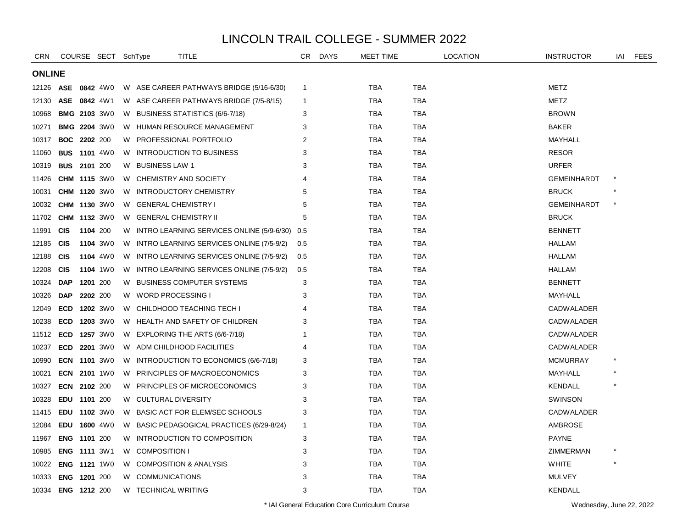| <b>CRN</b>    |                     |          | COURSE SECT SchType |    |                                   | <b>TITLE</b>                                | CR.          | <b>DAYS</b> | <b>MEET TIME</b> |            | <b>LOCATION</b> | <b>INSTRUCTOR</b>  | IAI     | <b>FEES</b> |
|---------------|---------------------|----------|---------------------|----|-----------------------------------|---------------------------------------------|--------------|-------------|------------------|------------|-----------------|--------------------|---------|-------------|
| <b>ONLINE</b> |                     |          |                     |    |                                   |                                             |              |             |                  |            |                 |                    |         |             |
| 12126         | <b>ASE</b>          |          | 0842 4W0            |    |                                   | W ASE CAREER PATHWAYS BRIDGE (5/16-6/30)    | $\mathbf{1}$ |             | TBA              | <b>TBA</b> |                 | <b>METZ</b>        |         |             |
| 12130         | ASE 0842 4W1        |          |                     |    |                                   | W ASE CAREER PATHWAYS BRIDGE (7/5-8/15)     | $\mathbf{1}$ |             | TBA              | <b>TBA</b> |                 | METZ               |         |             |
| 10968         | <b>BMG 2103 3W0</b> |          |                     |    |                                   | W BUSINESS STATISTICS (6/6-7/18)            | 3            |             | TBA              | <b>TBA</b> |                 | <b>BROWN</b>       |         |             |
| 10271         | <b>BMG 2204 3W0</b> |          |                     |    |                                   | W HUMAN RESOURCE MANAGEMENT                 | 3            |             | TBA              | <b>TBA</b> |                 | <b>BAKER</b>       |         |             |
| 10317         | <b>BOC</b>          | 2202 200 |                     | W. |                                   | <b>PROFESSIONAL PORTFOLIO</b>               | 2            |             | TBA              | TBA        |                 | MAYHALL            |         |             |
| 11060         | <b>BUS 1101 4W0</b> |          |                     | W  |                                   | <b>INTRODUCTION TO BUSINESS</b>             | 3            |             | TBA              | <b>TBA</b> |                 | <b>RESOR</b>       |         |             |
| 10319         | <b>BUS 2101 200</b> |          |                     | W  | <b>BUSINESS LAW 1</b>             |                                             | 3            |             | <b>TBA</b>       | <b>TBA</b> |                 | <b>URFER</b>       |         |             |
| 11426         | <b>CHM 1115 3W0</b> |          |                     |    | W CHEMISTRY AND SOCIETY           |                                             | 4            |             | <b>TBA</b>       | <b>TBA</b> |                 | <b>GEMEINHARDT</b> |         |             |
| 10031         | CHM 1120 3W0        |          |                     | W  |                                   | <b>INTRODUCTORY CHEMISTRY</b>               | 5            |             | TBA              | <b>TBA</b> |                 | <b>BRUCK</b>       |         |             |
| 10032         | <b>CHM 1130 3W0</b> |          |                     | W  | <b>GENERAL CHEMISTRY I</b>        |                                             | 5            |             | TBA              | <b>TBA</b> |                 | <b>GEMEINHARDT</b> | $\star$ |             |
| 11702         | <b>CHM 1132 3W0</b> |          |                     | W  | <b>GENERAL CHEMISTRY II</b>       |                                             | 5            |             | TBA              | <b>TBA</b> |                 | <b>BRUCK</b>       |         |             |
| 11991         | <b>CIS</b>          | 1104 200 |                     |    |                                   | W INTRO LEARNING SERVICES ONLINE (5/9-6/30) | 0.5          |             | <b>TBA</b>       | <b>TBA</b> |                 | <b>BENNETT</b>     |         |             |
| 12185         | <b>CIS</b>          |          | 1104 3W0            |    |                                   | W INTRO LEARNING SERVICES ONLINE (7/5-9/2)  | 0.5          |             | <b>TBA</b>       | TBA        |                 | <b>HALLAM</b>      |         |             |
| 12188         | <b>CIS</b>          |          | 1104 4W0            |    |                                   | W INTRO LEARNING SERVICES ONLINE (7/5-9/2)  | 0.5          |             | <b>TBA</b>       | <b>TBA</b> |                 | <b>HALLAM</b>      |         |             |
| 12208         | <b>CIS</b>          |          | 1104 1W0            | W  |                                   | INTRO LEARNING SERVICES ONLINE (7/5-9/2)    | 0.5          |             | TBA              | <b>TBA</b> |                 | HALLAM             |         |             |
| 10324         | <b>DAP</b>          |          | 1201 200            | W  |                                   | <b>BUSINESS COMPUTER SYSTEMS</b>            | 3            |             | <b>TBA</b>       | <b>TBA</b> |                 | <b>BENNETT</b>     |         |             |
| 10326         | <b>DAP</b>          |          | 2202 200            | W  | WORD PROCESSING I                 |                                             | 3            |             | <b>TBA</b>       | <b>TBA</b> |                 | MAYHALL            |         |             |
| 12049         | <b>ECD</b>          |          | 1202 3W0            | W  |                                   | CHILDHOOD TEACHING TECH I                   | 4            |             | TBA              | <b>TBA</b> |                 | <b>CADWALADER</b>  |         |             |
| 10238         | <b>ECD</b>          |          | 1203 3W0            |    |                                   | W HEALTH AND SAFETY OF CHILDREN             | 3            |             | TBA              | <b>TBA</b> |                 | <b>CADWALADER</b>  |         |             |
| 11512         | <b>ECD</b>          |          | 1257 3W0            | W  |                                   | EXPLORING THE ARTS (6/6-7/18)               | 1            |             | TBA              | <b>TBA</b> |                 | <b>CADWALADER</b>  |         |             |
| 10237         | <b>ECD</b>          |          | <b>2201</b> 3W0     | W  |                                   | ADM CHILDHOOD FACILITIES                    | 4            |             | TBA              | TBA        |                 | <b>CADWALADER</b>  |         |             |
| 10990         | <b>ECN 1101 3W0</b> |          |                     | W  |                                   | INTRODUCTION TO ECONOMICS (6/6-7/18)        | 3            |             | <b>TBA</b>       | <b>TBA</b> |                 | <b>MCMURRAY</b>    |         |             |
| 10021         | <b>ECN 2101 1W0</b> |          |                     | W  |                                   | PRINCIPLES OF MACROECONOMICS                | 3            |             | <b>TBA</b>       | <b>TBA</b> |                 | MAYHALL            |         |             |
| 10327         | ECN 2102 200        |          |                     |    |                                   | W PRINCIPLES OF MICROECONOMICS              | 3            |             | <b>TBA</b>       | <b>TBA</b> |                 | <b>KENDALL</b>     |         |             |
| 10328         | EDU 1101 200        |          |                     |    | W CULTURAL DIVERSITY              |                                             | 3            |             | TBA              | <b>TBA</b> |                 | <b>SWINSON</b>     |         |             |
| 11415         | <b>EDU</b>          |          | 1102 3W0            | W  |                                   | BASIC ACT FOR ELEM/SEC SCHOOLS              | 3            |             | TBA              | <b>TBA</b> |                 | <b>CADWALADER</b>  |         |             |
| 12084         | <b>EDU</b>          |          | 1600 4W0            | W  |                                   | BASIC PEDAGOGICAL PRACTICES (6/29-8/24)     | $\mathbf{1}$ |             | TBA              | <b>TBA</b> |                 | <b>AMBROSE</b>     |         |             |
| 11967         | <b>ENG</b>          | 1101 200 |                     | W  |                                   | INTRODUCTION TO COMPOSITION                 | 3            |             | TBA              | <b>TBA</b> |                 | <b>PAYNE</b>       |         |             |
| 10985         | <b>ENG 1111 3W1</b> |          |                     | W  | <b>COMPOSITION I</b>              |                                             | 3            |             | TBA              | TBA        |                 | ZIMMERMAN          | $\ast$  |             |
| 10022         | <b>ENG 1121 1W0</b> |          |                     | W. | <b>COMPOSITION &amp; ANALYSIS</b> |                                             | 3            |             | TBA              | <b>TBA</b> |                 | <b>WHITE</b>       |         |             |
| 10333         | <b>ENG</b>          | 1201 200 |                     | W  | <b>COMMUNICATIONS</b>             |                                             | 3            |             | <b>TBA</b>       | <b>TBA</b> |                 | <b>MULVEY</b>      |         |             |
| 10334         | ENG 1212 200        |          |                     | W  | <b>TECHNICAL WRITING</b>          |                                             | 3            |             | <b>TBA</b>       | <b>TBA</b> |                 | <b>KENDALL</b>     |         |             |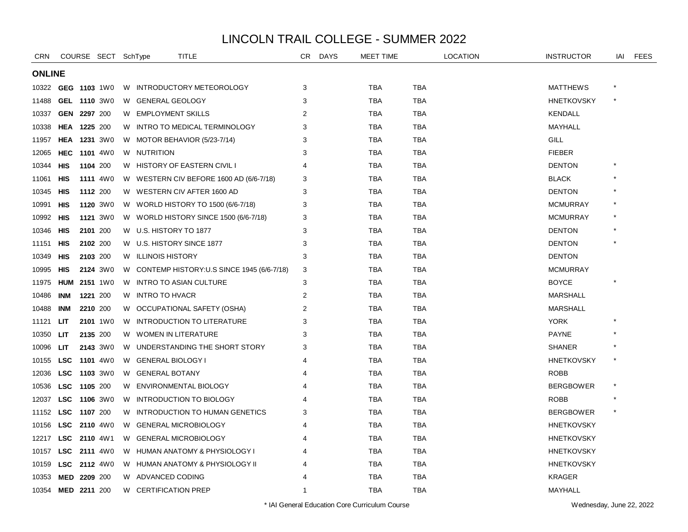| <b>CRN</b>    |                     |          | COURSE SECT SchType |    | TITLE                                       | CR.            | <b>DAYS</b> | <b>MEET TIME</b> |            | <b>LOCATION</b> | <b>INSTRUCTOR</b> | IAI | <b>FEES</b> |
|---------------|---------------------|----------|---------------------|----|---------------------------------------------|----------------|-------------|------------------|------------|-----------------|-------------------|-----|-------------|
| <b>ONLINE</b> |                     |          |                     |    |                                             |                |             |                  |            |                 |                   |     |             |
|               | 10322 GEG 1103 1W0  |          |                     |    | W INTRODUCTORY METEOROLOGY                  | 3              |             | <b>TBA</b>       | <b>TBA</b> |                 | <b>MATTHEWS</b>   |     |             |
| 11488         |                     |          | GEL 1110 3W0        |    | W GENERAL GEOLOGY                           | 3              |             | <b>TBA</b>       | <b>TBA</b> |                 | <b>HNETKOVSKY</b> |     |             |
| 10337         | GEN 2297 200        |          |                     |    | W EMPLOYMENT SKILLS                         | 2              |             | TBA              | TBA        |                 | <b>KENDALL</b>    |     |             |
| 10338         | <b>HEA 1225 200</b> |          |                     | W. | INTRO TO MEDICAL TERMINOLOGY                | 3              |             | <b>TBA</b>       | <b>TBA</b> |                 | MAYHALL           |     |             |
| 11957         |                     |          | <b>HEA 1231 3W0</b> |    | W MOTOR BEHAVIOR (5/23-7/14)                | 3              |             | <b>TBA</b>       | <b>TBA</b> |                 | GILL              |     |             |
| 12065         | HEC                 |          | <b>1101</b> 4W0     |    | W NUTRITION                                 | 3              |             | <b>TBA</b>       | <b>TBA</b> |                 | <b>FIEBER</b>     |     |             |
| 10344         | HIS                 | 1104 200 |                     |    | W HISTORY OF EASTERN CIVIL I                | 4              |             | <b>TBA</b>       | <b>TBA</b> |                 | <b>DENTON</b>     |     |             |
| 11061         | HIS                 |          | <b>1111</b> 4W0     |    | W WESTERN CIV BEFORE 1600 AD (6/6-7/18)     | 3              |             | TBA              | <b>TBA</b> |                 | <b>BLACK</b>      |     |             |
| 10345         | HIS                 |          | 1112 200            |    | W WESTERN CIV AFTER 1600 AD                 | 3              |             | TBA              | TBA        |                 | <b>DENTON</b>     |     |             |
| 10991         | HIS                 |          | 1120 3W0            | W. | WORLD HISTORY TO 1500 (6/6-7/18)            | 3              |             | <b>TBA</b>       | <b>TBA</b> |                 | <b>MCMURRAY</b>   |     |             |
| 10992         | HIS                 |          | 1121 3W0            |    | W WORLD HISTORY SINCE 1500 (6/6-7/18)       | 3              |             | TBA              | TBA        |                 | <b>MCMURRAY</b>   |     |             |
| 10346         | HIS                 |          | 2101 200            |    | W U.S. HISTORY TO 1877                      | 3              |             | <b>TBA</b>       | <b>TBA</b> |                 | <b>DENTON</b>     |     |             |
| 11151         | <b>HIS</b>          |          | 2102 200            |    | W U.S. HISTORY SINCE 1877                   | 3              |             | <b>TBA</b>       | <b>TBA</b> |                 | <b>DENTON</b>     |     |             |
| 10349         | HIS                 |          | 2103 200            |    | W ILLINOIS HISTORY                          | 3              |             | TBA              | <b>TBA</b> |                 | <b>DENTON</b>     |     |             |
| 10995         | HIS                 |          | 2124 3W0            |    | W CONTEMP HISTORY:U.S SINCE 1945 (6/6-7/18) | 3              |             | TBA              | TBA        |                 | <b>MCMURRAY</b>   |     |             |
| 11975         | <b>HUM</b>          |          | 2151 1W0            | W. | <b>INTRO TO ASIAN CULTURE</b>               | 3              |             | <b>TBA</b>       | <b>TBA</b> |                 | <b>BOYCE</b>      |     |             |
| 10486         | <b>INM</b>          | 1221 200 |                     | W. | INTRO TO HVACR                              | $\overline{2}$ |             | <b>TBA</b>       | <b>TBA</b> |                 | <b>MARSHALL</b>   |     |             |
| 10488         | <b>INM</b>          | 2210 200 |                     |    | W OCCUPATIONAL SAFETY (OSHA)                | 2              |             | <b>TBA</b>       | <b>TBA</b> |                 | <b>MARSHALL</b>   |     |             |
| 11121         | LІТ                 |          | 2101 1W0            | W  | INTRODUCTION TO LITERATURE                  | 3              |             | TBA              | TBA        |                 | <b>YORK</b>       |     |             |
| 10350         | LIT                 |          | 2135 200            | W  | <b>WOMEN IN LITERATURE</b>                  | 3              |             | TBA              | TBA        |                 | <b>PAYNE</b>      |     |             |
| 10096         | LIT                 |          | 2143 3W0            | W. | UNDERSTANDING THE SHORT STORY               | 3              |             | <b>TBA</b>       | <b>TBA</b> |                 | <b>SHANER</b>     |     |             |
| 10155         | <b>LSC</b>          |          | <b>1101</b> 4W0     | W  | <b>GENERAL BIOLOGY I</b>                    | 4              |             | <b>TBA</b>       | <b>TBA</b> |                 | <b>HNETKOVSKY</b> |     |             |
| 12036         | LSC 1103 3W0        |          |                     | W  | <b>GENERAL BOTANY</b>                       | 4              |             | <b>TBA</b>       | TBA        |                 | <b>ROBB</b>       |     |             |
| 10536         | LSC 1105 200        |          |                     |    | W ENVIRONMENTAL BIOLOGY                     | Δ              |             | TBA              | TBA        |                 | <b>BERGBOWER</b>  |     |             |
| 12037         | <b>LSC</b>          |          | 1106 3W0            | W  | <b>INTRODUCTION TO BIOLOGY</b>              |                |             | TBA              | TBA        |                 | <b>ROBB</b>       |     |             |
| 11152         | <b>LSC</b>          | 1107 200 |                     | W. | INTRODUCTION TO HUMAN GENETICS              | 3              |             | <b>TBA</b>       | <b>TBA</b> |                 | <b>BERGBOWER</b>  |     |             |
| 10156         |                     |          | LSC 2110 4W0        | W  | <b>GENERAL MICROBIOLOGY</b>                 |                |             | <b>TBA</b>       | <b>TBA</b> |                 | <b>HNETKOVSKY</b> |     |             |
| 12217         | LSC 2110 4W1        |          |                     | W  | <b>GENERAL MICROBIOLOGY</b>                 |                |             | <b>TBA</b>       | <b>TBA</b> |                 | <b>HNETKOVSKY</b> |     |             |
| 10157         |                     |          | LSC 2111 4W0        |    | W HUMAN ANATOMY & PHYSIOLOGY I              |                |             | TBA              | <b>TBA</b> |                 | <b>HNETKOVSKY</b> |     |             |
| 10159         | LSC 2112 4W0        |          |                     |    | W HUMAN ANATOMY & PHYSIOLOGY II             |                |             | TBA              | TBA        |                 | <b>HNETKOVSKY</b> |     |             |
| 10353         | MED 2209 200        |          |                     |    | W ADVANCED CODING                           |                |             | TBA              | TBA        |                 | <b>KRAGER</b>     |     |             |
| 10354         | MED 2211 200        |          |                     |    | W CERTIFICATION PREP                        | -1             |             | <b>TBA</b>       | <b>TBA</b> |                 | MAYHALL           |     |             |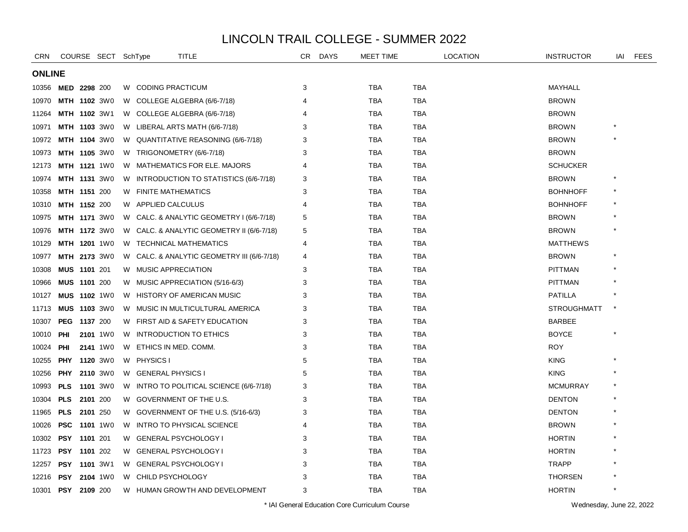| <b>CRN</b>    |                     | COURSE SECT SchType |   | <b>TITLE</b>                               | CR             | <b>DAYS</b> | <b>MEET TIME</b> |            | <b>LOCATION</b> | <b>INSTRUCTOR</b>  | IAI    | <b>FEES</b> |
|---------------|---------------------|---------------------|---|--------------------------------------------|----------------|-------------|------------------|------------|-----------------|--------------------|--------|-------------|
| <b>ONLINE</b> |                     |                     |   |                                            |                |             |                  |            |                 |                    |        |             |
| 10356         | MED 2298 200        |                     |   | W CODING PRACTICUM                         | 3              |             | <b>TBA</b>       | <b>TBA</b> |                 | MAYHALL            |        |             |
| 10970         | MTH 1102 3W0        |                     |   | W COLLEGE ALGEBRA (6/6-7/18)               | 4              |             | <b>TBA</b>       | <b>TBA</b> |                 | <b>BROWN</b>       |        |             |
| 11264         | MTH 1102 3W1        |                     |   | W COLLEGE ALGEBRA (6/6-7/18)               |                |             | <b>TBA</b>       | TBA        |                 | <b>BROWN</b>       |        |             |
| 10971         | <b>MTH 1103 3W0</b> |                     |   | W LIBERAL ARTS MATH (6/6-7/18)             | 3              |             | <b>TBA</b>       | TBA        |                 | <b>BROWN</b>       |        |             |
| 10972         | MTH 1104 3W0        |                     | W | QUANTITATIVE REASONING (6/6-7/18)          | 3              |             | <b>TBA</b>       | TBA        |                 | <b>BROWN</b>       |        |             |
| 10973         | <b>MTH 1105 3W0</b> |                     | W | TRIGONOMETRY (6/6-7/18)                    | 3              |             | <b>TBA</b>       | TBA        |                 | <b>BROWN</b>       |        |             |
| 12173         | <b>MTH 1121 1W0</b> |                     |   | W MATHEMATICS FOR ELE. MAJORS              | 4              |             | <b>TBA</b>       | <b>TBA</b> |                 | <b>SCHUCKER</b>    |        |             |
| 10974         | <b>MTH 1131 3W0</b> |                     |   | W INTRODUCTION TO STATISTICS (6/6-7/18)    | 3              |             | <b>TBA</b>       | <b>TBA</b> |                 | <b>BROWN</b>       |        |             |
| 10358         | MTH 1151 200        |                     |   | W FINITE MATHEMATICS                       | 3              |             | <b>TBA</b>       | TBA        |                 | <b>BOHNHOFF</b>    |        |             |
| 10310         | <b>MTH 1152 200</b> |                     | W | APPLIED CALCULUS                           | $\overline{4}$ |             | <b>TBA</b>       | TBA        |                 | <b>BOHNHOFF</b>    |        |             |
| 10975         | <b>MTH 1171 3W0</b> |                     |   | W CALC. & ANALYTIC GEOMETRY I (6/6-7/18)   | 5              |             | <b>TBA</b>       | TBA        |                 | <b>BROWN</b>       |        |             |
| 10976         | <b>MTH 1172 3W0</b> |                     |   | W CALC. & ANALYTIC GEOMETRY II (6/6-7/18)  | 5              |             | <b>TBA</b>       | TBA        |                 | <b>BROWN</b>       |        |             |
| 10129         | MTH 1201 1W0        |                     |   | W TECHNICAL MATHEMATICS                    | 4              |             | <b>TBA</b>       | TBA        |                 | <b>MATTHEWS</b>    |        |             |
| 10977         | <b>MTH 2173 3W0</b> |                     |   | W CALC. & ANALYTIC GEOMETRY III (6/6-7/18) | 4              |             | <b>TBA</b>       | <b>TBA</b> |                 | <b>BROWN</b>       |        |             |
| 10308         | MUS 1101 201        |                     |   | W MUSIC APPRECIATION                       | 3              |             | <b>TBA</b>       | TBA        |                 | <b>PITTMAN</b>     |        |             |
| 10966         | MUS 1101 200        |                     |   | W MUSIC APPRECIATION (5/16-6/3)            | 3              |             | <b>TBA</b>       | <b>TBA</b> |                 | <b>PITTMAN</b>     |        |             |
| 10127         | <b>MUS 1102 1W0</b> |                     | W | <b>HISTORY OF AMERICAN MUSIC</b>           | 3              |             | <b>TBA</b>       | TBA        |                 | <b>PATILLA</b>     |        |             |
| 11713         | <b>MUS 1103 3W0</b> |                     |   | W MUSIC IN MULTICULTURAL AMERICA           | 3              |             | <b>TBA</b>       | TBA        |                 | <b>STROUGHMATT</b> | $\ast$ |             |
| 10307         | <b>PEG</b>          | 1137 200            |   | W FIRST AID & SAFETY EDUCATION             | 3              |             | <b>TBA</b>       | TBA        |                 | <b>BARBEE</b>      |        |             |
| 10010         | <b>PHI</b>          | 2101 1W0            | W | <b>INTRODUCTION TO ETHICS</b>              | 3              |             | <b>TBA</b>       | TBA        |                 | <b>BOYCE</b>       |        |             |
| 10024         | PHI                 | <b>2141</b> 1W0     | W | ETHICS IN MED. COMM.                       | 3              |             | <b>TBA</b>       | TBA        |                 | <b>ROY</b>         |        |             |
| 10255         | <b>PHY</b>          | <b>1120</b> 3W0     |   | W PHYSICS I                                | 5              |             | <b>TBA</b>       | <b>TBA</b> |                 | <b>KING</b>        |        |             |
| 10256         | PHY                 | 2110 3W0            |   | W GENERAL PHYSICS I                        | 5              |             | <b>TBA</b>       | <b>TBA</b> |                 | <b>KING</b>        |        |             |
| 10993         | <b>PLS</b>          | 1101 3W0            |   | W INTRO TO POLITICAL SCIENCE (6/6-7/18)    | 3              |             | <b>TBA</b>       | <b>TBA</b> |                 | <b>MCMURRAY</b>    |        |             |
| 10304         | <b>PLS</b>          | 2101 200            |   | W GOVERNMENT OF THE U.S.                   | 3              |             | <b>TBA</b>       | <b>TBA</b> |                 | <b>DENTON</b>      |        |             |
| 11965         | <b>PLS</b>          | 2101 250            |   | W GOVERNMENT OF THE U.S. (5/16-6/3)        | 3              |             | <b>TBA</b>       | TBA        |                 | <b>DENTON</b>      |        |             |
| 10026         | <b>PSC</b>          | <b>1101</b> 1W0     | W | INTRO TO PHYSICAL SCIENCE                  | 4              |             | <b>TBA</b>       | TBA        |                 | <b>BROWN</b>       |        |             |
| 10302         | <b>PSY</b>          | 1101 201            | W | <b>GENERAL PSYCHOLOGY I</b>                | 3              |             | <b>TBA</b>       | TBA        |                 | <b>HORTIN</b>      |        |             |
| 11723         | PSY                 | 1101 202            | W | <b>GENERAL PSYCHOLOGY I</b>                | 3              |             | TBA              | TBA        |                 | <b>HORTIN</b>      |        |             |
| 12257         | <b>PSY</b>          | <b>1101</b> 3W1     |   | W GENERAL PSYCHOLOGY                       | 3              |             | <b>TBA</b>       | <b>TBA</b> |                 | <b>TRAPP</b>       |        |             |
| 12216         | <b>PSY</b>          | 2104 1W0            | W | CHILD PSYCHOLOGY                           | 3              |             | <b>TBA</b>       | TBA        |                 | <b>THORSEN</b>     |        |             |
| 10301         | <b>PSY</b>          | 2109 200            | W | HUMAN GROWTH AND DEVELOPMENT               | 3              |             | <b>TBA</b>       | <b>TBA</b> |                 | <b>HORTIN</b>      |        |             |